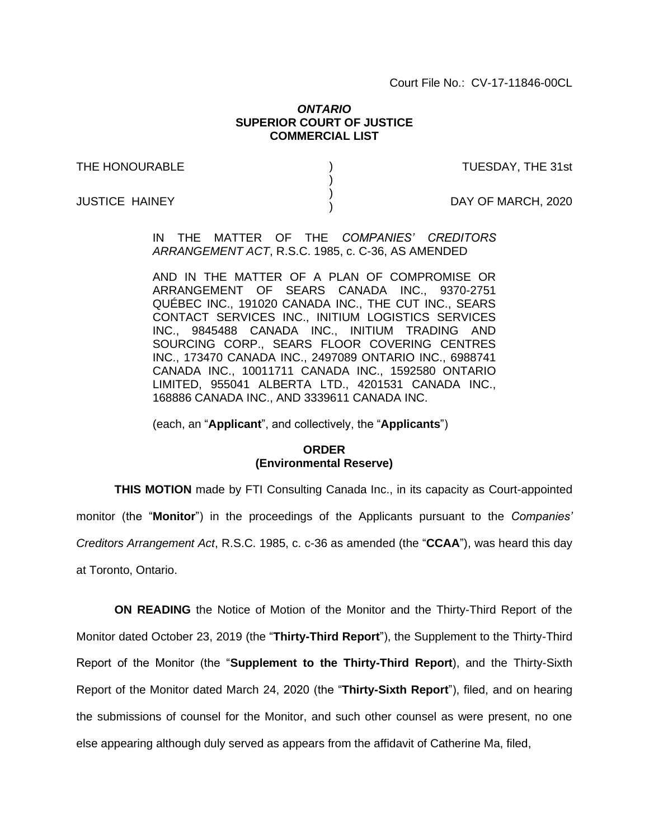Court File No.: CV-17-11846-00CL

## *ONTARIO* **SUPERIOR COURT OF JUSTICE COMMERCIAL LIST**

) ) ) )

THE HONOURABLE

TUESDAY, THE 31st

JUSTICE HAINEY

DAY OF MARCH, 2020

IN THE MATTER OF THE *COMPANIES' CREDITORS ARRANGEMENT ACT*, R.S.C. 1985, c. C-36, AS AMENDED

AND IN THE MATTER OF A PLAN OF COMPROMISE OR ARRANGEMENT OF SEARS CANADA INC., 9370-2751 QUÉBEC INC., 191020 CANADA INC., THE CUT INC., SEARS CONTACT SERVICES INC., INITIUM LOGISTICS SERVICES INC., 9845488 CANADA INC., INITIUM TRADING AND SOURCING CORP., SEARS FLOOR COVERING CENTRES INC., 173470 CANADA INC., 2497089 ONTARIO INC., 6988741 CANADA INC., 10011711 CANADA INC., 1592580 ONTARIO LIMITED, 955041 ALBERTA LTD., 4201531 CANADA INC., 168886 CANADA INC., AND 3339611 CANADA INC.

(each, an "**Applicant**", and collectively, the "**Applicants**")

## **ORDER (Environmental Reserve)**

**THIS MOTION** made by FTI Consulting Canada Inc., in its capacity as Court-appointed

monitor (the "**Monitor**") in the proceedings of the Applicants pursuant to the *Companies'* 

*Creditors Arrangement Act*, R.S.C. 1985, c. c-36 as amended (the "**CCAA**"), was heard this day

at Toronto, Ontario.

**ON READING** the Notice of Motion of the Monitor and the Thirty-Third Report of the Monitor dated October 23, 2019 (the "**Thirty-Third Report**"), the Supplement to the Thirty-Third Report of the Monitor (the "**Supplement to the Thirty-Third Report**), and the Thirty-Sixth Report of the Monitor dated March 24, 2020 (the "**Thirty-Sixth Report**"), filed, and on hearing the submissions of counsel for the Monitor, and such other counsel as were present, no one else appearing although duly served as appears from the affidavit of Catherine Ma, filed,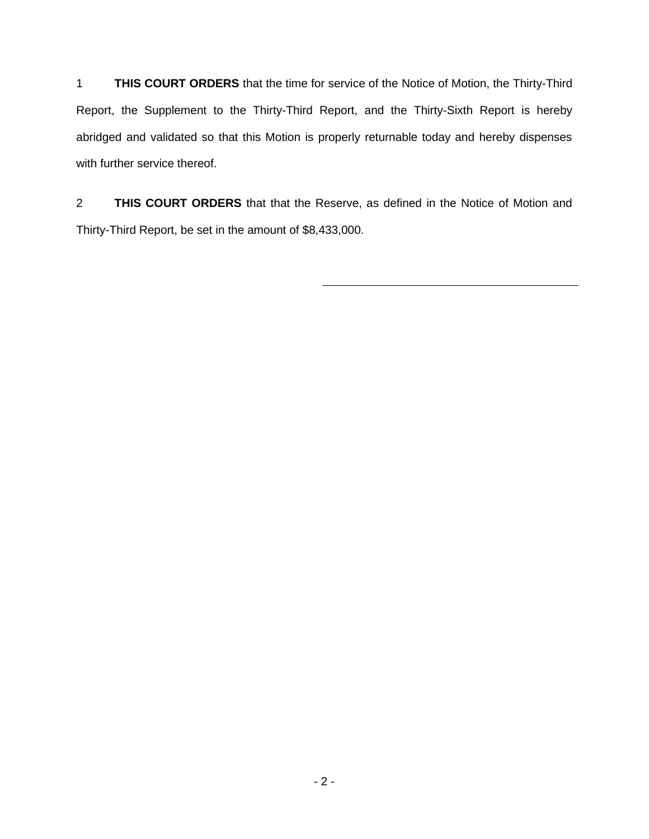1 **THIS COURT ORDERS** that the time for service of the Notice of Motion, the Thirty-Third Report, the Supplement to the Thirty-Third Report, and the Thirty-Sixth Report is hereby abridged and validated so that this Motion is properly returnable today and hereby dispenses with further service thereof.

2 **THIS COURT ORDERS** that that the Reserve, as defined in the Notice of Motion and Thirty-Third Report, be set in the amount of \$8,433,000.